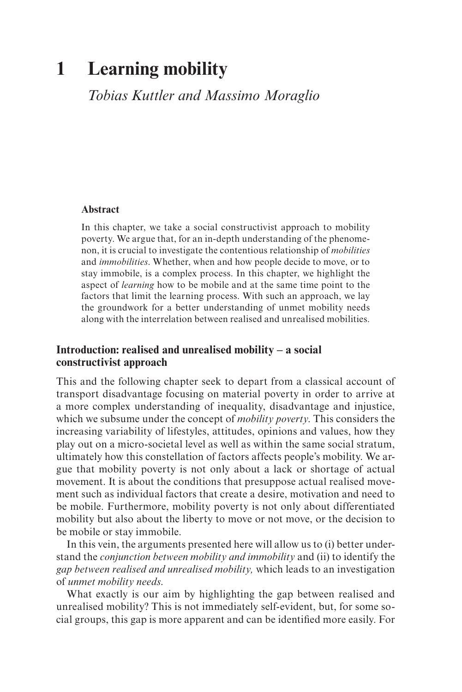# **1 Learning mobility**

*[Tobias Kuttler and Massimo Moraglio](#page--1-0)*

#### **Abstract**

In this chapter, we take a social constructivist approach to mobility poverty. We argue that, for an in-depth understanding of the phenomenon, it is crucial to investigate the contentious relationship of *mobilities* and *immobilities*. Whether, when and how people decide to move, or to stay immobile, is a complex process. In this chapter, we highlight the aspect of *learning* how to be mobile and at the same time point to the factors that limit the learning process. With such an approach, we lay the groundwork for a better understanding of unmet mobility needs along with the interrelation between realised and unrealised mobilities.

# **Introduction: realised and unrealised mobility – a social constructivist approach**

This and the following chapter seek to depart from a classical account of transport disadvantage focusing on material poverty in order to arrive at a more complex understanding of inequality, disadvantage and injustice, which we subsume under the concept of *mobility poverty*. This considers the increasing variability of lifestyles, attitudes, opinions and values, how they play out on a micro-societal level as well as within the same social stratum, ultimately how this constellation of factors affects people's mobility. We argue that mobility poverty is not only about a lack or shortage of actual movement. It is about the conditions that presuppose actual realised movement such as individual factors that create a desire, motivation and need to be mobile. Furthermore, mobility poverty is not only about differentiated mobility but also about the liberty to move or not move, or the decision to be mobile or stay immobile.

In this vein, the arguments presented here will allow us to (i) better understand the *conjunction between mobility and immobility* and (ii) to identify the *gap between realised and unrealised mobility,* which leads to an investigation of *unmet mobility needs*.

What exactly is our aim by highlighting the gap between realised and unrealised mobility? This is not immediately self-evident, but, for some social groups, this gap is more apparent and can be identified more easily. For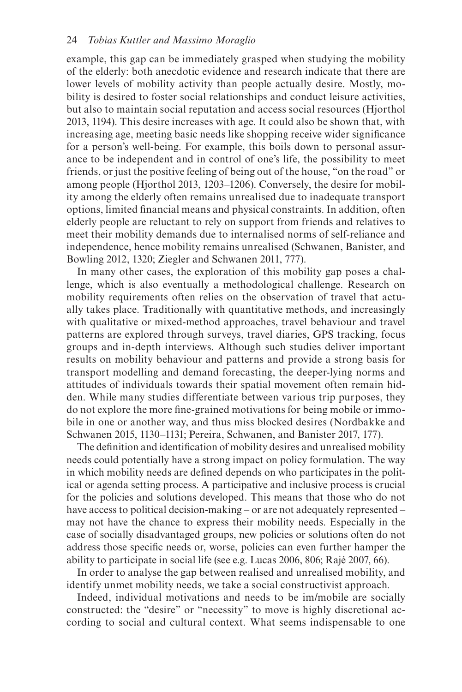example, this gap can be immediately grasped when studying the mobility of the elderly: both anecdotic evidence and research indicate that there are lower levels of mobility activity than people actually desire. Mostly, mobility is desired to foster social relationships and conduct leisure activities, but also to maintain social reputation and access social resources (Hjorthol 2013, 1194). This desire increases with age. It could also be shown that, with increasing age, meeting basic needs like shopping receive wider significance for a person's well-being. For example, this boils down to personal assurance to be independent and in control of one's life, the possibility to meet friends, or just the positive feeling of being out of the house, "on the road" or among people (Hjorthol 2013, 1203–1206). Conversely, the desire for mobility among the elderly often remains unrealised due to inadequate transport options, limited financial means and physical constraints. In addition, often elderly people are reluctant to rely on support from friends and relatives to meet their mobility demands due to internalised norms of self-reliance and independence, hence mobility remains unrealised (Schwanen, Banister, and Bowling 2012, 1320; Ziegler and Schwanen 2011, 777).

In many other cases, the exploration of this mobility gap poses a challenge, which is also eventually a methodological challenge. Research on mobility requirements often relies on the observation of travel that actually takes place. Traditionally with quantitative methods, and increasingly with qualitative or mixed-method approaches, travel behaviour and travel patterns are explored through surveys, travel diaries, GPS tracking, focus groups and in-depth interviews. Although such studies deliver important results on mobility behaviour and patterns and provide a strong basis for transport modelling and demand forecasting, the deeper-lying norms and attitudes of individuals towards their spatial movement often remain hidden. While many studies differentiate between various trip purposes, they do not explore the more fine-grained motivations for being mobile or immobile in one or another way, and thus miss blocked desires (Nordbakke and Schwanen 2015, 1130–1131; Pereira, Schwanen, and Banister 2017, 177).

The definition and identification of mobility desires and unrealised mobility needs could potentially have a strong impact on policy formulation. The way in which mobility needs are defined depends on who participates in the political or agenda setting process. A participative and inclusive process is crucial for the policies and solutions developed. This means that those who do not have access to political decision-making – or are not adequately represented – may not have the chance to express their mobility needs. Especially in the case of socially disadvantaged groups, new policies or solutions often do not address those specific needs or, worse, policies can even further hamper the ability to participate in social life (see e.g. Lucas 2006, 806; Rajé 2007, 66).

In order to analyse the gap between realised and unrealised mobility, and identify unmet mobility needs, we take a social constructivist approach*.*

Indeed, individual motivations and needs to be im/mobile are socially constructed: the "desire" or "necessity" to move is highly discretional according to social and cultural context. What seems indispensable to one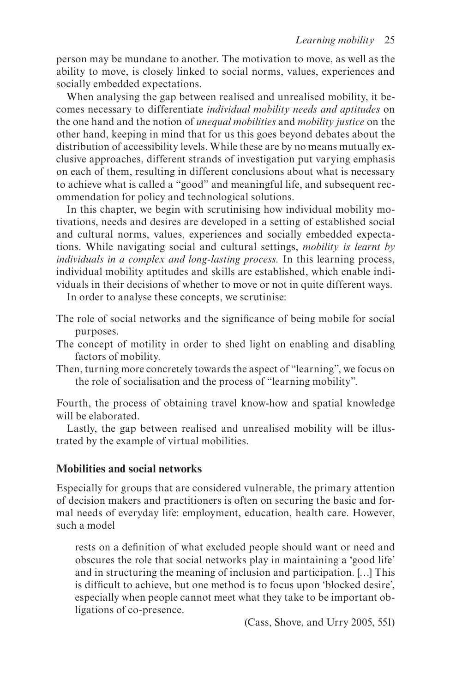person may be mundane to another. The motivation to move, as well as the ability to move, is closely linked to social norms, values, experiences and socially embedded expectations.

When analysing the gap between realised and unrealised mobility, it becomes necessary to differentiate *individual mobility needs and aptitudes* on the one hand and the notion of *unequal mobilities* and *mobility justice* on the other hand, keeping in mind that for us this goes beyond debates about the distribution of accessibility levels. While these are by no means mutually exclusive approaches, different strands of investigation put varying emphasis on each of them, resulting in different conclusions about what is necessary to achieve what is called a "good" and meaningful life, and subsequent recommendation for policy and technological solutions.

In this chapter, we begin with scrutinising how individual mobility motivations, needs and desires are developed in a setting of established social and cultural norms, values, experiences and socially embedded expectations. While navigating social and cultural settings, *mobility is learnt by individuals in a complex and long-lasting process.* In this learning process, individual mobility aptitudes and skills are established, which enable individuals in their decisions of whether to move or not in quite different ways.

In order to analyse these concepts, we scrutinise:

- The role of social networks and the significance of being mobile for social purposes.
- The concept of motility in order to shed light on enabling and disabling factors of mobility.
- Then, turning more concretely towards the aspect of "learning", we focus on the role of socialisation and the process of "learning mobility".

Fourth, the process of obtaining travel know-how and spatial knowledge will be elaborated.

Lastly, the gap between realised and unrealised mobility will be illustrated by the example of virtual mobilities.

# **Mobilities and social networks**

Especially for groups that are considered vulnerable, the primary attention of decision makers and practitioners is often on securing the basic and formal needs of everyday life: employment, education, health care. However, such a model

rests on a definition of what excluded people should want or need and obscures the role that social networks play in maintaining a 'good life' and in structuring the meaning of inclusion and participation. […] This is difficult to achieve, but one method is to focus upon 'blocked desire', especially when people cannot meet what they take to be important obligations of co-presence.

(Cass, Shove, and Urry 2005, 551)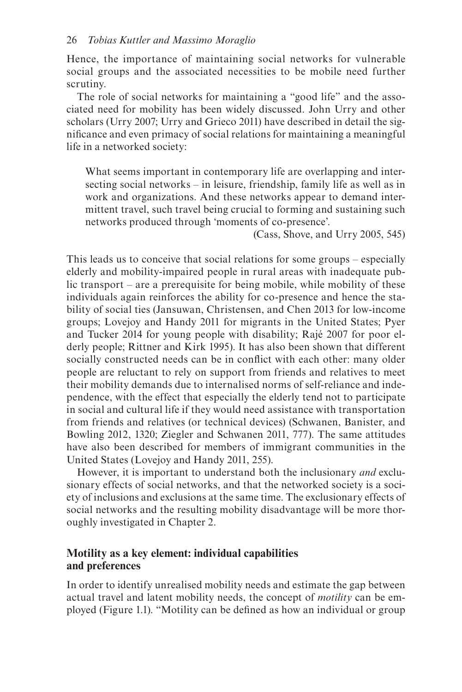Hence, the importance of maintaining social networks for vulnerable social groups and the associated necessities to be mobile need further scrutiny.

The role of social networks for maintaining a "good life" and the associated need for mobility has been widely discussed. John Urry and other scholars (Urry 2007; Urry and Grieco 2011) have described in detail the significance and even primacy of social relations for maintaining a meaningful life in a networked society:

What seems important in contemporary life are overlapping and intersecting social networks – in leisure, friendship, family life as well as in work and organizations. And these networks appear to demand intermittent travel, such travel being crucial to forming and sustaining such networks produced through 'moments of co-presence'.

(Cass, Shove, and Urry 2005, 545)

This leads us to conceive that social relations for some groups – especially elderly and mobility-impaired people in rural areas with inadequate public transport – are a prerequisite for being mobile, while mobility of these individuals again reinforces the ability for co-presence and hence the stability of social ties (Jansuwan, Christensen, and Chen 2013 for low-income groups; Lovejoy and Handy 2011 for migrants in the United States; Pyer and Tucker 2014 for young people with disability; Rajé 2007 for poor elderly people; Rittner and Kirk 1995). It has also been shown that different socially constructed needs can be in conflict with each other: many older people are reluctant to rely on support from friends and relatives to meet their mobility demands due to internalised norms of self-reliance and independence, with the effect that especially the elderly tend not to participate in social and cultural life if they would need assistance with transportation from friends and relatives (or technical devices) (Schwanen, Banister, and Bowling 2012, 1320; Ziegler and Schwanen 2011, 777). The same attitudes have also been described for members of immigrant communities in the United States (Lovejoy and Handy 2011, 255).

However, it is important to understand both the inclusionary *and* exclusionary effects of social networks, and that the networked society is a society of inclusions and exclusions at the same time. The exclusionary effects of social networks and the resulting mobility disadvantage will be more thoroughly investigated in [Chapter 2](#page--1-0).

# **Motility as a key element: individual capabilities and preferences**

In order to identify unrealised mobility needs and estimate the gap between actual travel and latent mobility needs, the concept of *motility* can be employed [\(Figure 1.1\)](#page--1-0). "Motility can be defined as how an individual or group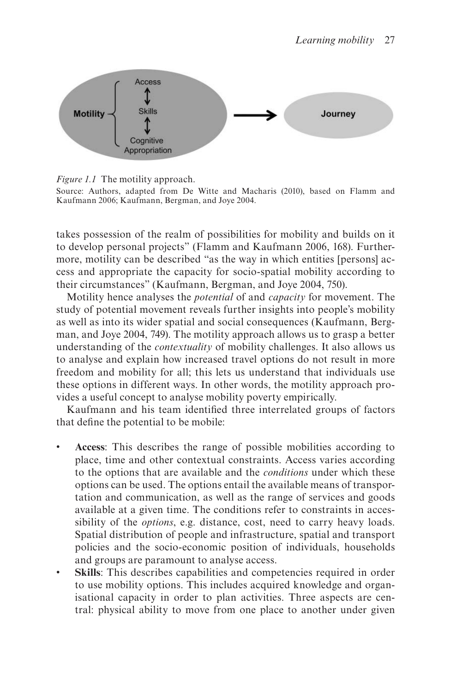

*Figure 1.1* [The motility approach.](#page--1-0)

Source: Authors, adapted from De Witte and Macharis (2010), based on Flamm and Kaufmann 2006; Kaufmann, Bergman, and Joye 2004.

takes possession of the realm of possibilities for mobility and builds on it to develop personal projects" (Flamm and Kaufmann 2006, 168). Furthermore, motility can be described "as the way in which entities [persons] access and appropriate the capacity for socio-spatial mobility according to their circumstances" (Kaufmann, Bergman, and Joye 2004, 750).

Motility hence analyses the *potential* of and *capacity* for movement. The study of potential movement reveals further insights into people's mobility as well as into its wider spatial and social consequences (Kaufmann, Bergman, and Joye 2004, 749). The motility approach allows us to grasp a better understanding of the *contextuality* of mobility challenges. It also allows us to analyse and explain how increased travel options do not result in more freedom and mobility for all; this lets us understand that individuals use these options in different ways. In other words, the motility approach provides a useful concept to analyse mobility poverty empirically.

Kaufmann and his team identified three interrelated groups of factors that define the potential to be mobile:

- **Access**: This describes the range of possible mobilities according to place, time and other contextual constraints. Access varies according to the options that are available and the *conditions* under which these options can be used. The options entail the available means of transportation and communication, as well as the range of services and goods available at a given time. The conditions refer to constraints in accessibility of the *options*, e.g. distance, cost, need to carry heavy loads. Spatial distribution of people and infrastructure, spatial and transport policies and the socio-economic position of individuals, households and groups are paramount to analyse access.
- **Skills**: This describes capabilities and competencies required in order to use mobility options. This includes acquired knowledge and organisational capacity in order to plan activities. Three aspects are central: physical ability to move from one place to another under given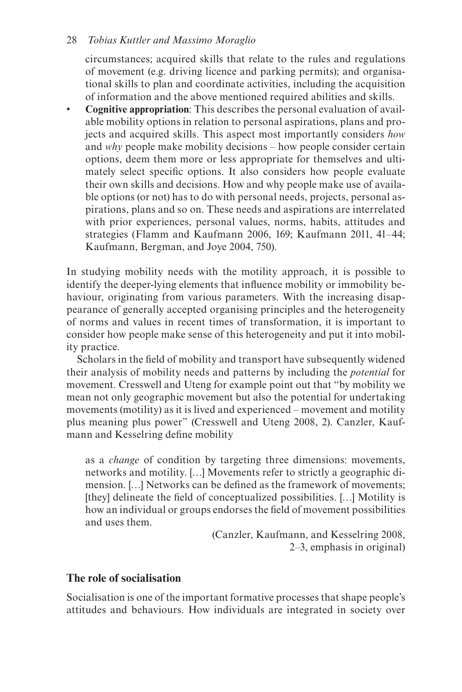circumstances; acquired skills that relate to the rules and regulations of movement (e.g. driving licence and parking permits); and organisational skills to plan and coordinate activities, including the acquisition of information and the above mentioned required abilities and skills.

• **Cognitive appropriation**: This describes the personal evaluation of available mobility options in relation to personal aspirations, plans and projects and acquired skills. This aspect most importantly considers *how* and *why* people make mobility decisions – how people consider certain options, deem them more or less appropriate for themselves and ultimately select specific options. It also considers how people evaluate their own skills and decisions. How and why people make use of available options (or not) has to do with personal needs, projects, personal aspirations, plans and so on. These needs and aspirations are interrelated with prior experiences, personal values, norms, habits, attitudes and strategies (Flamm and Kaufmann 2006, 169; Kaufmann 2011, 41–44; Kaufmann, Bergman, and Joye 2004, 750).

In studying mobility needs with the motility approach, it is possible to identify the deeper-lying elements that influence mobility or immobility behaviour, originating from various parameters. With the increasing disappearance of generally accepted organising principles and the heterogeneity of norms and values in recent times of transformation, it is important to consider how people make sense of this heterogeneity and put it into mobility practice.

Scholars in the field of mobility and transport have subsequently widened their analysis of mobility needs and patterns by including the *potential* for movement. Cresswell and Uteng for example point out that "by mobility we mean not only geographic movement but also the potential for undertaking movements (motility) as it is lived and experienced – movement and motility plus meaning plus power" (Cresswell and Uteng 2008, 2). Canzler, Kaufmann and Kesselring define mobility

as a *change* of condition by targeting three dimensions: movements, networks and motility. […] Movements refer to strictly a geographic dimension. […] Networks can be defined as the framework of movements; [they] delineate the field of conceptualized possibilities. […] Motility is how an individual or groups endorses the field of movement possibilities and uses them.

> (Canzler, Kaufmann, and Kesselring 2008, 2–3, emphasis in original)

### **The role of socialisation**

Socialisation is one of the important formative processes that shape people's attitudes and behaviours. How individuals are integrated in society over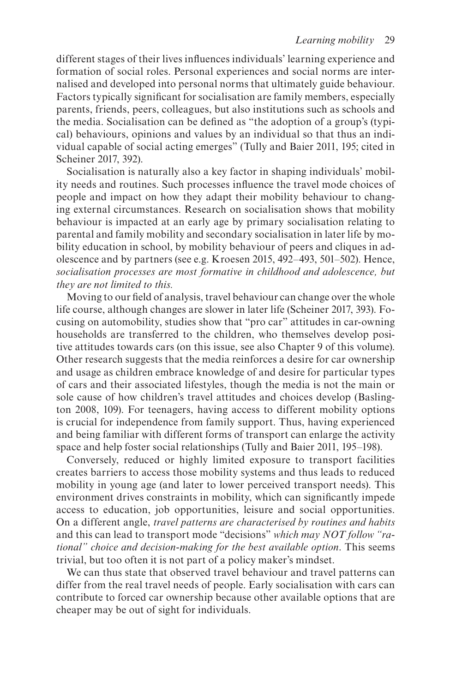different stages of their lives influences individuals' learning experience and formation of social roles. Personal experiences and social norms are internalised and developed into personal norms that ultimately guide behaviour. Factors typically significant for socialisation are family members, especially parents, friends, peers, colleagues, but also institutions such as schools and the media. Socialisation can be defined as "the adoption of a group's (typical) behaviours, opinions and values by an individual so that thus an individual capable of social acting emerges" (Tully and Baier 2011, 195; cited in Scheiner 2017, 392).

Socialisation is naturally also a key factor in shaping individuals' mobility needs and routines. Such processes influence the travel mode choices of people and impact on how they adapt their mobility behaviour to changing external circumstances. Research on socialisation shows that mobility behaviour is impacted at an early age by primary socialisation relating to parental and family mobility and secondary socialisation in later life by mobility education in school, by mobility behaviour of peers and cliques in adolescence and by partners (see e.g. Kroesen 2015, 492–493, 501–502). Hence, *socialisation processes are most formative in childhood and adolescence, but they are not limited to this.*

Moving to our field of analysis, travel behaviour can change over the whole life course, although changes are slower in later life (Scheiner 2017, 393). Focusing on automobility, studies show that "pro car" attitudes in car-owning households are transferred to the children, who themselves develop positive attitudes towards cars (on this issue, see also [Chapter 9](#page--1-0) of this volume). Other research suggests that the media reinforces a desire for car ownership and usage as children embrace knowledge of and desire for particular types of cars and their associated lifestyles, though the media is not the main or sole cause of how children's travel attitudes and choices develop (Baslington 2008, 109). For teenagers, having access to different mobility options is crucial for independence from family support. Thus, having experienced and being familiar with different forms of transport can enlarge the activity space and help foster social relationships (Tully and Baier 2011, 195–198).

Conversely, reduced or highly limited exposure to transport facilities creates barriers to access those mobility systems and thus leads to reduced mobility in young age (and later to lower perceived transport needs). This environment drives constraints in mobility, which can significantly impede access to education, job opportunities, leisure and social opportunities. On a different angle, *travel patterns are characterised by routines and habits* and this can lead to transport mode "decisions" *which may NOT follow "rational" choice and decision-making for the best available option*. This seems trivial, but too often it is not part of a policy maker's mindset.

We can thus state that observed travel behaviour and travel patterns can differ from the real travel needs of people. Early socialisation with cars can contribute to forced car ownership because other available options that are cheaper may be out of sight for individuals.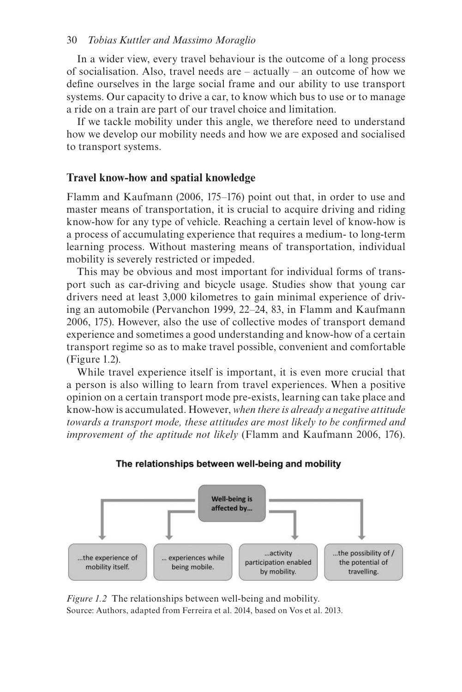In a wider view, every travel behaviour is the outcome of a long process of socialisation. Also, travel needs are – actually – an outcome of how we define ourselves in the large social frame and our ability to use transport systems. Our capacity to drive a car, to know which bus to use or to manage a ride on a train are part of our travel choice and limitation.

If we tackle mobility under this angle, we therefore need to understand how we develop our mobility needs and how we are exposed and socialised to transport systems.

#### **Travel know-how and spatial knowledge**

Flamm and Kaufmann (2006, 175–176) point out that, in order to use and master means of transportation, it is crucial to acquire driving and riding know-how for any type of vehicle. Reaching a certain level of know-how is a process of accumulating experience that requires a medium- to long-term learning process. Without mastering means of transportation, individual mobility is severely restricted or impeded.

This may be obvious and most important for individual forms of transport such as car-driving and bicycle usage. Studies show that young car drivers need at least 3,000 kilometres to gain minimal experience of driving an automobile (Pervanchon 1999, 22–24, 83, in Flamm and Kaufmann 2006, 175). However, also the use of collective modes of transport demand experience and sometimes a good understanding and know-how of a certain transport regime so as to make travel possible, convenient and comfortable (Figure 1.2).

While travel experience itself is important, it is even more crucial that a person is also willing to learn from travel experiences. When a positive opinion on a certain transport mode pre-exists, learning can take place and know-how is accumulated. However, *when there is already a negative attitude towards a transport mode, these attitudes are most likely to be confirmed and improvement of the aptitude not likely* (Flamm and Kaufmann 2006, 176).



#### The relationships between well-being and mobility

*Figure 1.2* [The relationships between well-being and mobility.](#page--1-0) Source: Authors, adapted from Ferreira et al. 2014, based on Vos et al. 2013.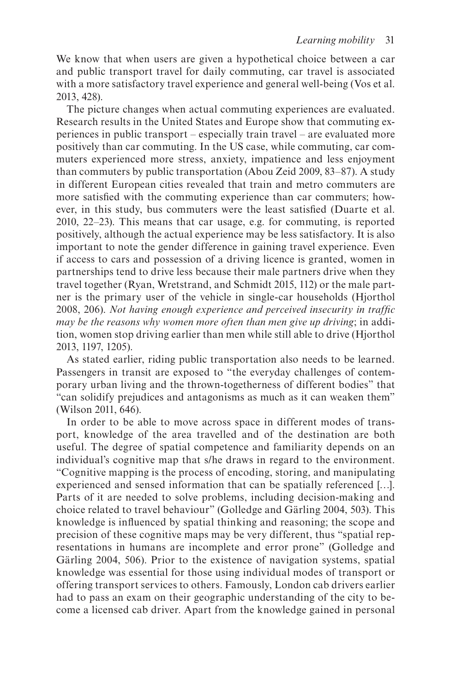We know that when users are given a hypothetical choice between a car and public transport travel for daily commuting, car travel is associated with a more satisfactory travel experience and general well-being (Vos et al. 2013, 428).

The picture changes when actual commuting experiences are evaluated. Research results in the United States and Europe show that commuting experiences in public transport – especially train travel – are evaluated more positively than car commuting. In the US case, while commuting, car commuters experienced more stress, anxiety, impatience and less enjoyment than commuters by public transportation (Abou Zeid 2009, 83–87). A study in different European cities revealed that train and metro commuters are more satisfied with the commuting experience than car commuters; however, in this study, bus commuters were the least satisfied (Duarte et al. 2010, 22–23). This means that car usage, e.g. for commuting, is reported positively, although the actual experience may be less satisfactory. It is also important to note the gender difference in gaining travel experience. Even if access to cars and possession of a driving licence is granted, women in partnerships tend to drive less because their male partners drive when they travel together (Ryan, Wretstrand, and Schmidt 2015, 112) or the male partner is the primary user of the vehicle in single-car households (Hjorthol 2008, 206). *Not having enough experience and perceived insecurity in traffic may be the reasons why women more often than men give up driving*; in addition, women stop driving earlier than men while still able to drive (Hjorthol 2013, 1197, 1205).

As stated earlier, riding public transportation also needs to be learned. Passengers in transit are exposed to "the everyday challenges of contemporary urban living and the thrown-togetherness of different bodies" that "can solidify prejudices and antagonisms as much as it can weaken them" (Wilson 2011, 646).

In order to be able to move across space in different modes of transport, knowledge of the area travelled and of the destination are both useful. The degree of spatial competence and familiarity depends on an individual's cognitive map that s/he draws in regard to the environment. "Cognitive mapping is the process of encoding, storing, and manipulating experienced and sensed information that can be spatially referenced […]. Parts of it are needed to solve problems, including decision-making and choice related to travel behaviour" (Golledge and Gärling 2004, 503). This knowledge is influenced by spatial thinking and reasoning; the scope and precision of these cognitive maps may be very different, thus "spatial representations in humans are incomplete and error prone" (Golledge and Gärling 2004, 506). Prior to the existence of navigation systems, spatial knowledge was essential for those using individual modes of transport or offering transport services to others. Famously, London cab drivers earlier had to pass an exam on their geographic understanding of the city to become a licensed cab driver. Apart from the knowledge gained in personal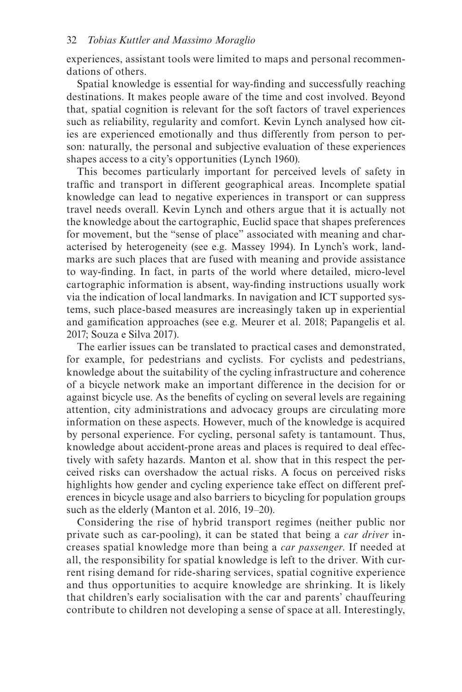experiences, assistant tools were limited to maps and personal recommendations of others.

Spatial knowledge is essential for way-finding and successfully reaching destinations. It makes people aware of the time and cost involved. Beyond that, spatial cognition is relevant for the soft factors of travel experiences such as reliability, regularity and comfort. Kevin Lynch analysed how cities are experienced emotionally and thus differently from person to person: naturally, the personal and subjective evaluation of these experiences shapes access to a city's opportunities (Lynch 1960).

This becomes particularly important for perceived levels of safety in traffic and transport in different geographical areas. Incomplete spatial knowledge can lead to negative experiences in transport or can suppress travel needs overall. Kevin Lynch and others argue that it is actually not the knowledge about the cartographic, Euclid space that shapes preferences for movement, but the "sense of place" associated with meaning and characterised by heterogeneity (see e.g. Massey 1994). In Lynch's work, landmarks are such places that are fused with meaning and provide assistance to way- finding. In fact, in parts of the world where detailed, micro-level cartographic information is absent, way-finding instructions usually work via the indication of local landmarks. In navigation and ICT supported systems, such place-based measures are increasingly taken up in experiential and gamification approaches (see e.g. Meurer et al. 2018; Papangelis et al. 2017; Souza e Silva 2017).

The earlier issues can be translated to practical cases and demonstrated, for example, for pedestrians and cyclists. For cyclists and pedestrians, knowledge about the suitability of the cycling infrastructure and coherence of a bicycle network make an important difference in the decision for or against bicycle use. As the benefits of cycling on several levels are regaining attention, city administrations and advocacy groups are circulating more information on these aspects. However, much of the knowledge is acquired by personal experience. For cycling, personal safety is tantamount. Thus, knowledge about accident-prone areas and places is required to deal effectively with safety hazards. Manton et al. show that in this respect the perceived risks can overshadow the actual risks. A focus on perceived risks highlights how gender and cycling experience take effect on different preferences in bicycle usage and also barriers to bicycling for population groups such as the elderly (Manton et al. 2016, 19–20).

Considering the rise of hybrid transport regimes (neither public nor private such as car-pooling), it can be stated that being a *car driver* increases spatial knowledge more than being a *car passenger*. If needed at all, the responsibility for spatial knowledge is left to the driver. With current rising demand for ride-sharing services, spatial cognitive experience and thus opportunities to acquire knowledge are shrinking. It is likely that children's early socialisation with the car and parents' chauffeuring contribute to children not developing a sense of space at all. Interestingly,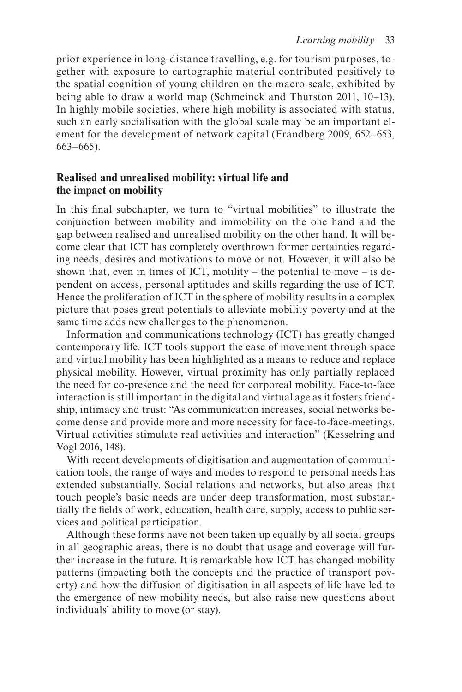prior experience in long-distance travelling, e.g. for tourism purposes, together with exposure to cartographic material contributed positively to the spatial cognition of young children on the macro scale, exhibited by being able to draw a world map (Schmeinck and Thurston 2011, 10–13). In highly mobile societies, where high mobility is associated with status, such an early socialisation with the global scale may be an important element for the development of network capital (Frändberg 2009, 652–653, 663–665).

# **Realised and unrealised mobility: virtual life and the impact on mobility**

In this final subchapter, we turn to "virtual mobilities" to illustrate the conjunction between mobility and immobility on the one hand and the gap between realised and unrealised mobility on the other hand. It will become clear that ICT has completely overthrown former certainties regarding needs, desires and motivations to move or not. However, it will also be shown that, even in times of ICT, motility – the potential to move – is dependent on access, personal aptitudes and skills regarding the use of ICT. Hence the proliferation of ICT in the sphere of mobility results in a complex picture that poses great potentials to alleviate mobility poverty and at the same time adds new challenges to the phenomenon.

Information and communications technology (ICT) has greatly changed contemporary life. ICT tools support the ease of movement through space and virtual mobility has been highlighted as a means to reduce and replace physical mobility. However, virtual proximity has only partially replaced the need for co-presence and the need for corporeal mobility. Face-to-face interaction is still important in the digital and virtual age as it fosters friendship, intimacy and trust: "As communication increases, social networks become dense and provide more and more necessity for face-to-face-meetings. Virtual activities stimulate real activities and interaction" (Kesselring and Vogl 2016, 148).

With recent developments of digitisation and augmentation of communication tools, the range of ways and modes to respond to personal needs has extended substantially. Social relations and networks, but also areas that touch people's basic needs are under deep transformation, most substantially the fields of work, education, health care, supply, access to public services and political participation.

Although these forms have not been taken up equally by all social groups in all geographic areas, there is no doubt that usage and coverage will further increase in the future. It is remarkable how ICT has changed mobility patterns (impacting both the concepts and the practice of transport poverty) and how the diffusion of digitisation in all aspects of life have led to the emergence of new mobility needs, but also raise new questions about individuals' ability to move (or stay).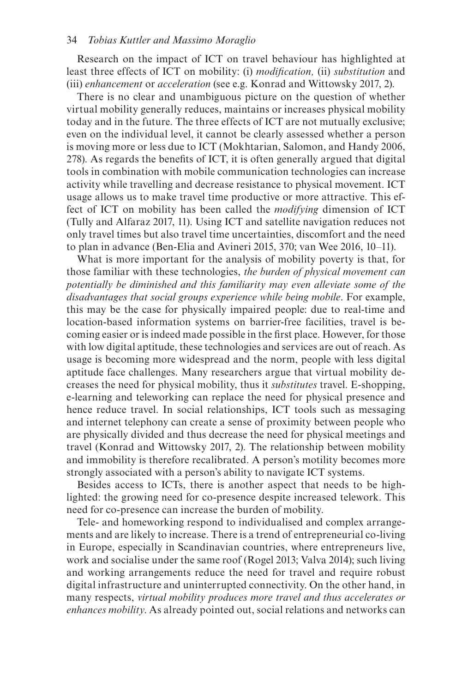Research on the impact of ICT on travel behaviour has highlighted at least three effects of ICT on mobility: (i) *modification,* (ii) *substitution* and (iii) *enhancement* or *acceleration* (see e.g. Konrad and Wittowsky 2017, 2).

There is no clear and unambiguous picture on the question of whether virtual mobility generally reduces, maintains or increases physical mobility today and in the future. The three effects of ICT are not mutually exclusive; even on the individual level, it cannot be clearly assessed whether a person is moving more or less due to ICT (Mokhtarian, Salomon, and Handy 2006, 278). As regards the benefits of ICT, it is often generally argued that digital tools in combination with mobile communication technologies can increase activity while travelling and decrease resistance to physical movement. ICT usage allows us to make travel time productive or more attractive. This effect of ICT on mobility has been called the *modifying* dimension of ICT (Tully and Alfaraz 2017, 11). Using ICT and satellite navigation reduces not only travel times but also travel time uncertainties, discomfort and the need to plan in advance (Ben-Elia and Avineri 2015, 370; van Wee 2016, 10–11).

What is more important for the analysis of mobility poverty is that, for those familiar with these technologies, *the burden of physical movement can potentially be diminished and this familiarity may even alleviate some of the disadvantages that social groups experience while being mobile*. For example, this may be the case for physically impaired people: due to real-time and location- based information systems on barrier-free facilities, travel is becoming easier or is indeed made possible in the first place. However, for those with low digital aptitude, these technologies and services are out of reach. As usage is becoming more widespread and the norm, people with less digital aptitude face challenges. Many researchers argue that virtual mobility decreases the need for physical mobility, thus it *substitutes* travel. E- shopping, e-learning and teleworking can replace the need for physical presence and hence reduce travel. In social relationships, ICT tools such as messaging and internet telephony can create a sense of proximity between people who are physically divided and thus decrease the need for physical meetings and travel (Konrad and Wittowsky 2017, 2). The relationship between mobility and immobility is therefore recalibrated. A person's motility becomes more strongly associated with a person's ability to navigate ICT systems.

Besides access to ICTs, there is another aspect that needs to be highlighted: the growing need for co-presence despite increased telework. This need for co-presence can increase the burden of mobility.

Tele- and homeworking respond to individualised and complex arrangements and are likely to increase. There is a trend of entrepreneurial co-living in Europe, especially in Scandinavian countries, where entrepreneurs live, work and socialise under the same roof (Rogel 2013; Valva 2014); such living and working arrangements reduce the need for travel and require robust digital infrastructure and uninterrupted connectivity. On the other hand, in many respects, *virtual mobility produces more travel and thus accelerates or enhances mobility*. As already pointed out, social relations and networks can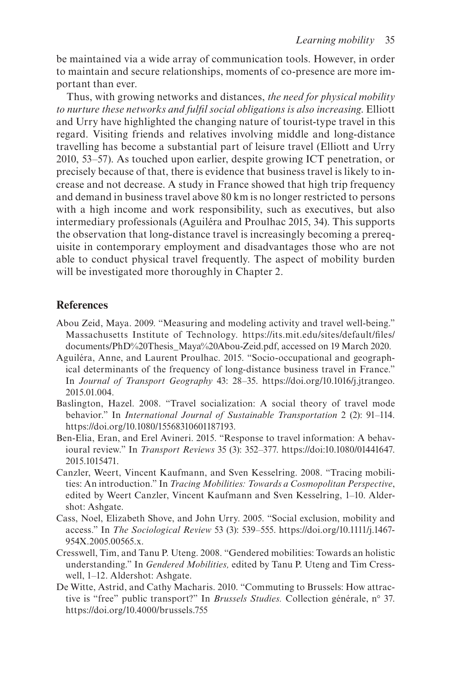be maintained via a wide array of communication tools. However, in order to maintain and secure relationships, moments of co-presence are more important than ever.

Thus, with growing networks and distances, *the need for physical mobility to nurture these networks and fulfil social obligations is also increasing*. Elliott and Urry have highlighted the changing nature of tourist-type travel in this regard. Visiting friends and relatives involving middle and long-distance travelling has become a substantial part of leisure travel (Elliott and Urry 2010, 53–57). As touched upon earlier, despite growing ICT penetration, or precisely because of that, there is evidence that business travel is likely to increase and not decrease. A study in France showed that high trip frequency and demand in business travel above 80 km is no longer restricted to persons with a high income and work responsibility, such as executives, but also intermediary professionals (Aguiléra and Proulhac 2015, 34). This supports the observation that long-distance travel is increasingly becoming a prerequisite in contemporary employment and disadvantages those who are not able to conduct physical travel frequently. The aspect of mobility burden will be investigated more thoroughly in [Chapter 2.](#page--1-0)

# **References**

- Abou Zeid, Maya. 2009. "Measuring and modeling activity and travel well-being." Massachusetts Institute of Technology. [https://its.mit.edu/sites/default/files/](https://its.mit.edu) [documents/PhD%20Thesis\\_Maya%20Abou-Zeid.pdf,](https://its.mit.edu) accessed on 19 March 2020.
- Aguiléra, Anne, and Laurent Proulhac. 2015. "Socio-occupational and geographical determinants of the frequency of long-distance business travel in France." In *Journal of Transport Geography* 43: 28–35. [https://doi.org/10.1016/j.jtrangeo.](https://doi.org/10.1016/j.jtrangeo.2015.01.004) [2015.01.004.](https://doi.org/10.1016/j.jtrangeo.2015.01.004)
- Baslington, Hazel. 2008. "Travel socialization: A social theory of travel mode behavior." In *International Journal of Sustainable Transportation* 2 (2): 91–114. [https://doi.org/10.1080/15568310601187193.](https://doi.org/10.1080/15568310601187193)
- Ben-Elia, Eran, and Erel Avineri. 2015. "Response to travel information: A behavioural review." In *Transport Reviews* 35 (3): 352–377. [https://doi:10.1080/01441647.](https://doi:10.1080/01441647.2015.1015471) [2015.1015471.](https://doi:10.1080/01441647.2015.1015471)
- Canzler, Weert, Vincent Kaufmann, and Sven Kesselring. 2008. "Tracing mobilities: An introduction." In *Tracing Mobilities: Towards a Cosmopolitan Perspective*, edited by Weert Canzler, Vincent Kaufmann and Sven Kesselring, 1–10. Aldershot: Ashgate.
- Cass, Noel, Elizabeth Shove, and John Urry. 2005. "Social exclusion, mobility and access." In *The Sociological Review* 53 (3): 539–555. [https://doi.org/10.1111/j.1467-](https://doi.org/10.1111/j.1467-954X.2005.00565.x) [954X.2005.00565.x.](https://doi.org/10.1111/j.1467-954X.2005.00565.x)
- Cresswell, Tim, and Tanu P. Uteng. 2008. "Gendered mobilities: Towards an holistic understanding." In *Gendered Mobilities,* edited by Tanu P. Uteng and Tim Cresswell, 1–12. Aldershot: Ashgate.
- De Witte, Astrid, and Cathy Macharis. 2010. "Commuting to Brussels: How attractive is "free" public transport?" In *Brussels Studies.* Collection générale, n° 37. <https://doi.org/10.4000/brussels.755>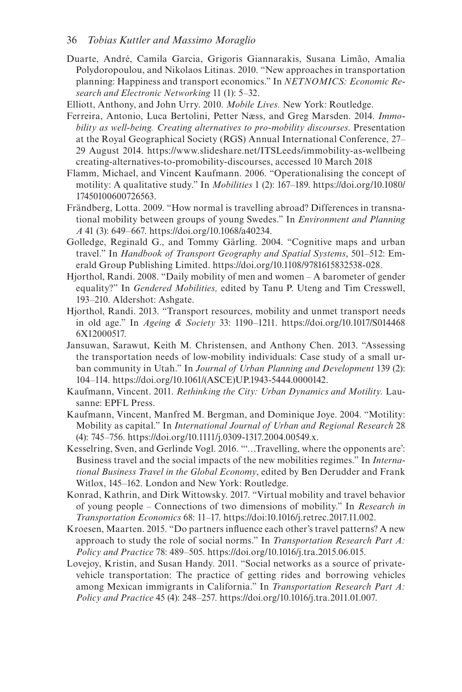Duarte, André, Camila Garcia, Grigoris Giannarakis, Susana Limão, Amalia Polydoropoulou, and Nikolaos Litinas. 2010. "New approaches in transportation planning: Happiness and transport economics." In *NETNOMICS: Economic Research and Electronic Networking* 11 (1): 5–32.

Elliott, Anthony, and John Urry. 2010. *Mobile Lives.* New York: Routledge.

- Ferreira, Antonio, Luca Bertolini, Petter Næss, and Greg Marsden. 2014. *Immobility as well-being. Creating alternatives to pro-mobility discourses*. Presentation at the Royal Geographical Society (RGS) Annual International Conference, 27– 29 August 2014. [https://www.slideshare.net/ITSLeeds/immobility-as-wellbeing](https://www.slideshare.net) [creating-alternatives-to-promobility-discourses,](https://www.slideshare.net) accessed 10 March 2018
- Flamm, Michael, and Vincent Kaufmann. 2006. "Operationalising the concept of motility: A qualitative study." In *Mobilities* 1 (2): 167–189. [https://doi.org/10.1080/](https://doi.org/10.1080/17450100600726563) [17450100600726563.](https://doi.org/10.1080/17450100600726563)
- Frändberg, Lotta. 2009. "How normal is travelling abroad? Differences in transnational mobility between groups of young Swedes." In *Environment and Planning A* 41 (3): 649–667. [https://doi.org/10.1068/a40234.](https://doi.org/10.1068/a40234)
- Golledge, Reginald G., and Tommy Gärling. 2004. "Cognitive maps and urban travel." In *Handbook of Transport Geography and Spatial Systems*, 501–512: Emerald Group Publishing Limited. [https://doi.org/10.1108/9781615832538-028.](https://doi.org/10.1108/9781615832538-028)
- Hjorthol, Randi. 2008. "Daily mobility of men and women A barometer of gender equality?" In *Gendered Mobilities,* edited by Tanu P. Uteng and Tim Cresswell, 193–210. Aldershot: Ashgate.
- Hjorthol, Randi. 2013. "Transport resources, mobility and unmet transport needs in old age." In *Ageing & Society* 33: 1190–1211. [https://doi.org/10.1017/S014468](https://doi.org/10.1017/S0144686X12000517) [6X12000517.](https://doi.org/10.1017/S0144686X12000517)
- Jansuwan, Sarawut, Keith M. Christensen, and Anthony Chen. 2013. "Assessing the transportation needs of low-mobility individuals: Case study of a small urban community in Utah." In *Journal of Urban Planning and Development* 139 (2): 104–114. [https://doi.org/10.1061/\(ASCE\)UP.1943-5444.0000142.](https://doi.org/10.1061/(ASCE)UP.1943-5444.0000142)
- Kaufmann, Vincent. 2011. *Rethinking the City: Urban Dynamics and Motility.* Lausanne: EPFL Press.
- Kaufmann, Vincent, Manfred M. Bergman, and Dominique Joye. 2004. "Motility: Mobility as capital." In *International Journal of Urban and Regional Research* 28 (4): 745–756. [https://doi.org/10.1111/j.0309-1317.2004.00549.x.](https://doi.org/10.1111/j.0309-1317.2004.00549.x)
- Kesselring, Sven, and Gerlinde Vogl. 2016. "'…Travelling, where the opponents are': Business travel and the social impacts of the new mobilities regimes." In *International Business Travel in the Global Economy*, edited by Ben Derudder and Frank Witlox, 145–162. London and New York: Routledge.
- Konrad, Kathrin, and Dirk Wittowsky. 2017. "Virtual mobility and travel behavior of young people – Connections of two dimensions of mobility." In *Research in Transportation Economics* 68: 11–17. [https://doi:10.1016/j.retrec.2017.11.002.](https://doi:10.1016/j.retrec.2017.11.002)
- Kroesen, Maarten. 2015. "Do partners influence each other's travel patterns? A new approach to study the role of social norms." In *Transportation Research Part A: Policy and Practice* 78: 489–505. [https://doi.org/10.1016/j.tra.2015.06.015.](https://doi.org/10.1016/j.tra.2015.06.015)
- Lovejoy, Kristin, and Susan Handy. 2011. "Social networks as a source of privatevehicle transportation: The practice of getting rides and borrowing vehicles among Mexican immigrants in California." In *Transportation Research Part A: Policy and Practice* 45 (4): 248–257. [https://doi.org/10.1016/j.tra.2011.01.007.](https://doi.org/10.1016/j.tra.2011.01.007)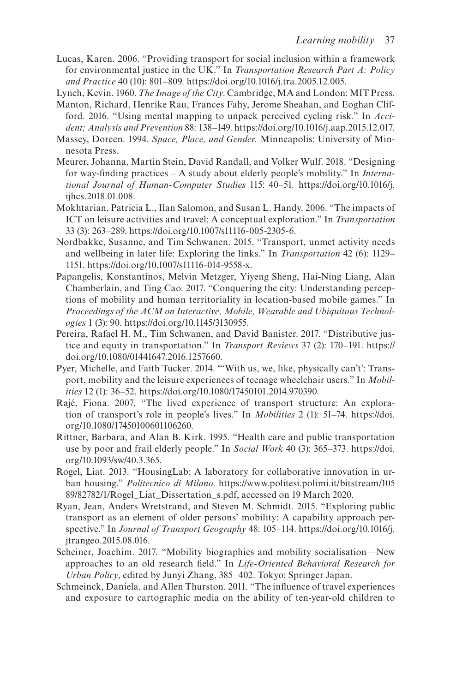- Lucas, Karen. 2006. "Providing transport for social inclusion within a framework for environmental justice in the UK." In *Transportation Research Part A: Policy and Practice* 40 (10): 801–809. [https://doi.org/10.1016/j.tra.2005.12.005.](https://doi.org/10.1016/j.tra.2005.12.005)
- Lynch, Kevin. 1960. *The Image of the City*. Cambridge, MA and London: MIT Press.
- Manton, Richard, Henrike Rau, Frances Fahy, Jerome Sheahan, and Eoghan Clifford. 2016. "Using mental mapping to unpack perceived cycling risk." In *Accident; Analysis and Prevention* 88: 138–149. [https://doi.org/10.1016/j.aap.2015.12.017.](https://doi.org/10.1016/j.aap.2015.12.017)
- Massey, Doreen. 1994. *Space, Place, and Gender.* Minneapolis: University of Minnesota Press.
- Meurer, Johanna, Martin Stein, David Randall, and Volker Wulf. 2018. "Designing for way-finding practices – A study about elderly people's mobility." In *International Journal of Human-Computer Studies* 115: 40–51*.* [https://doi.org/10.1016/j.](https://doi.org/10.1016/j.ijhcs.2018.01.008) [ijhcs.2018.01.008.](https://doi.org/10.1016/j.ijhcs.2018.01.008)
- Mokhtarian, Patricia L., Ilan Salomon, and Susan L. Handy. 2006. "The impacts of ICT on leisure activities and travel: A conceptual exploration." In *Transportation* 33 (3): 263–289. [https://doi.org/10.1007/s11116-005-2305-6.](https://doi.org/10.1007/s11116-005-2305-6)
- Nordbakke, Susanne, and Tim Schwanen. 2015. "Transport, unmet activity needs and wellbeing in later life: Exploring the links." In *Transportation* 42 (6): 1129– 1151. [https://doi.org/10.1007/s11116-014-9558-x.](https://doi.org/10.1007/s11116-014-9558-x)
- Papangelis, Konstantinos, Melvin Metzger, Yiyeng Sheng, Hai-Ning Liang, Alan Chamberlain, and Ting Cao. 2017. "Conquering the city: Understanding perceptions of mobility and human territoriality in location-based mobile games." In *Proceedings of the ACM on Interactive, Mobile, Wearable and Ubiquitous Technologies* 1 (3): 90. [https://doi.org/10.1145/3130955.](https://doi.org/10.1145/3130955)
- Pereira, Rafael H. M., Tim Schwanen, and David Banister. 2017. "Distributive justice and equity in transportation." In *Transport Reviews* 37 (2): 170–191. [https://](https://doi.org/10.1080/01441647.2016.1257660) [doi.org/10.1080/01441647.2016.1257660.](https://doi.org/10.1080/01441647.2016.1257660)
- Pyer, Michelle, and Faith Tucker. 2014. "'With us, we, like, physically can't': Transport, mobility and the leisure experiences of teenage wheelchair users." In *Mobilities* 12 (1): 36–52. [https://doi.org/10.1080/17450101.2014.970390.](https://doi.org/10.1080/17450101.2014.970390)
- Rajé, Fiona. 2007. "The lived experience of transport structure: An exploration of transport's role in people's lives." In *Mobilities* 2 (1): 51–74. [https://doi.](https://doi.org/10.1080/17450100601106260) [org/10.1080/17450100601106260.](https://doi.org/10.1080/17450100601106260)
- Rittner, Barbara, and Alan B. Kirk. 1995. "Health care and public transportation use by poor and frail elderly people." In *Social Work* 40 (3): 365–373. [https://doi.](https://doi.org/10.1093/sw/40.3.365) [org/10.1093/sw/40.3.365.](https://doi.org/10.1093/sw/40.3.365)
- Rogel, Liat. 2013. "HousingLab: A laboratory for collaborative innovation in urban housing." *Politecnico di Milano*. [https://www.politesi.polimi.it/bitstream/105](https://www.politesi.polimi.it) [89/82782/1/Rogel\\_Liat\\_Dissertation\\_s.pdf,](https://www.politesi.polimi.it) accessed on 19 March 2020.
- Ryan, Jean, Anders Wretstrand, and Steven M. Schmidt. 2015. "Exploring public transport as an element of older persons' mobility: A capability approach perspective." In *Journal of Transport Geography* 48: 105–114. [https://doi.org/10.1016/j.](https://doi.org/10.1016/j.jtrangeo.2015.08.016) [jtrangeo.2015.08.016.](https://doi.org/10.1016/j.jtrangeo.2015.08.016)
- Scheiner, Joachim. 2017. "Mobility biographies and mobility socialisation—New approaches to an old research field." In *Life-Oriented Behavioral Research for Urban Policy*, edited by Junyi Zhang, 385–402. Tokyo: Springer Japan.
- Schmeinck, Daniela, and Allen Thurston. 2011. "The influence of travel experiences and exposure to cartographic media on the ability of ten-year-old children to